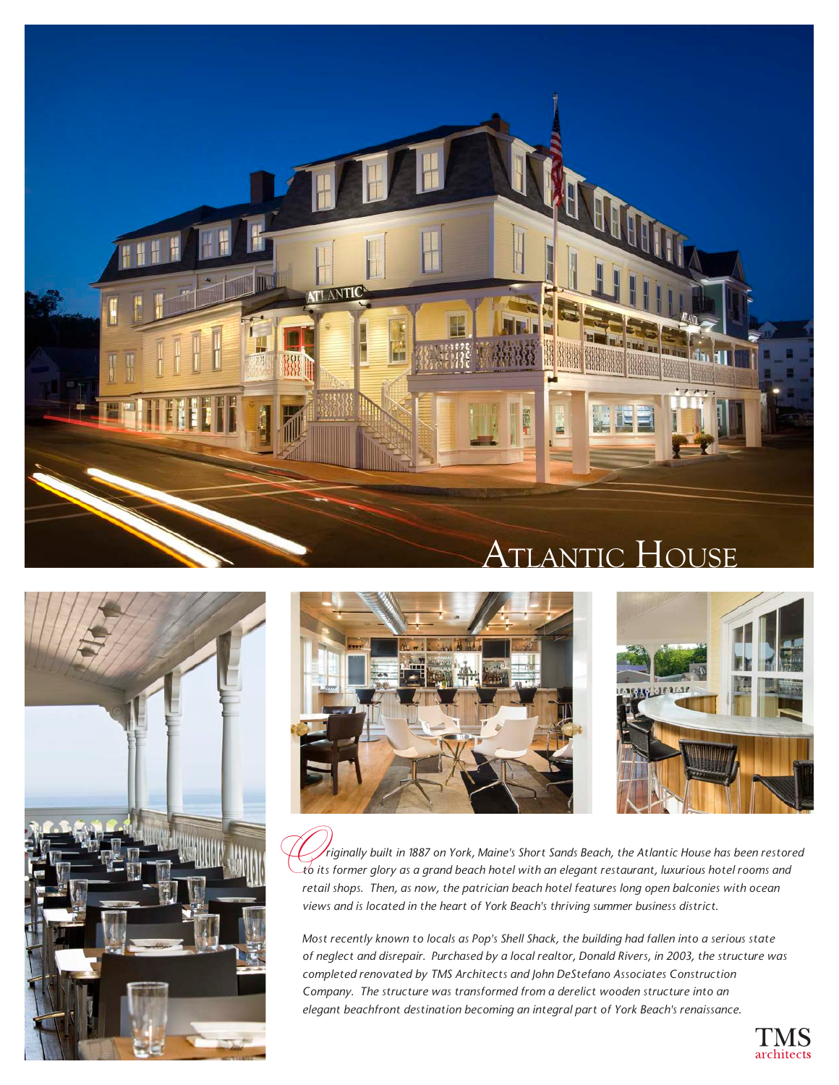





O *riginally built in 1887 on York, Maine's Short Sands Beach, the Atlantic House has been restored to its former glory as a grand beach hotel with an elegant restaurant, luxurious hotel rooms and retail shops. Then, as now, the patrician beach hotel features long open balconies with ocean views and is located in the heart of York Beach's thriving summer business district.* 

*Most recently known to locals as Pop's Shell Shack, the building had fallen into a serious state of neglect and disrepair. Purchased by a local realtor, Donald Rivers, in 2003, the structure was completed renovated by TMS Architects and John DeStefano Associates Construction Company. The structure was transformed from a derelict wooden structure into an elegant beachfront destination becoming an integral part of York Beach's renaissance.*